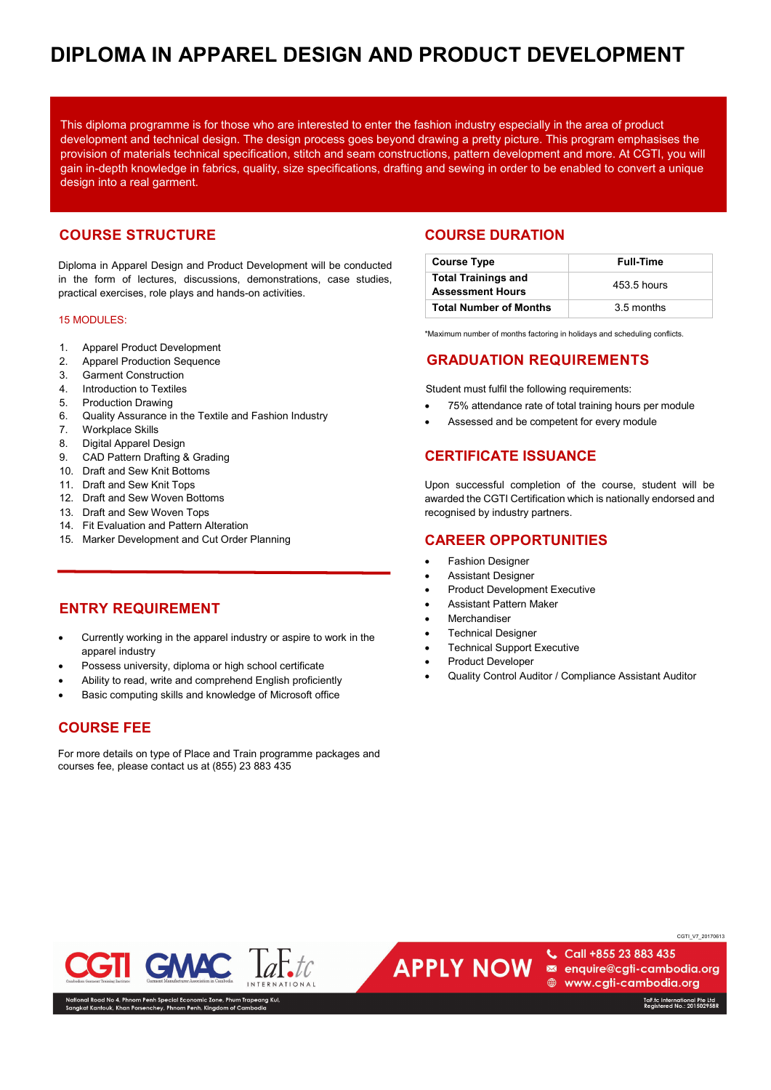# 2 **DIPLOMA IN APPAREL DESIGN AND PRODUCT DEVELOPMENT**

This diploma programme is for those who are interested to enter the fashion industry especially in the area of product development and technical design. The design process goes beyond drawing a pretty picture. This program emphasises the provision of materials technical specification, stitch and seam constructions, pattern development and more. At CGTI, you will gain in-depth knowledge in fabrics, quality, size specifications, drafting and sewing in order to be enabled to convert a unique design into a real garment.

# **COURSE STRUCTURE**

Diploma in Apparel Design and Product Development will be conducted in the form of lectures, discussions, demonstrations, case studies, practical exercises, role plays and hands-on activities.

### 15 MODULES:

- 1. Apparel Product Development
- 2. Apparel Production Sequence
- 3. Garment Construction
- 4. Introduction to Textiles
- 5. Production Drawing
- 6. Quality Assurance in the Textile and Fashion Industry
- 7. Workplace Skills
- 8. Digital Apparel Design
- 9. CAD Pattern Drafting & Grading
- 10. Draft and Sew Knit Bottoms
- 11. Draft and Sew Knit Tops
- 12. Draft and Sew Woven Bottoms
- 13. Draft and Sew Woven Tops
- 14. Fit Evaluation and Pattern Alteration
- 15. Marker Development and Cut Order Planning

## **ENTRY REQUIREMENT**

- Currently working in the apparel industry or aspire to work in the apparel industry
- Possess university, diploma or high school certificate
- Ability to read, write and comprehend English proficiently
- Basic computing skills and knowledge of Microsoft office

## **COURSE FEE**

For more details on type of Place and Train programme packages and courses fee, please contact us at (855) 23 883 435

## **COURSE DURATION**

| <b>Course Type</b>                                    | <b>Full-Time</b> |
|-------------------------------------------------------|------------------|
| <b>Total Trainings and</b><br><b>Assessment Hours</b> | 453.5 hours      |
| <b>Total Number of Months</b>                         | 3.5 months       |

\*Maximum number of months factoring in holidays and scheduling conflicts.

## **GRADUATION REQUIREMENTS**

Student must fulfil the following requirements:

- 75% attendance rate of total training hours per module
- Assessed and be competent for every module

# **CERTIFICATE ISSUANCE**

Upon successful completion of the course, student will be awarded the CGTI Certification which is nationally endorsed and recognised by industry partners.

## **CAREER OPPORTUNITIES**

- Fashion Designer
- Assistant Designer
- Product Development Executive
- Assistant Pattern Maker
- **Merchandiser**
- **Technical Designer**
- **Technical Support Executive**
- Product Developer
- Quality Control Auditor / Compliance Assistant Auditor

**GMAC** 

› 4, Phnom Penh Special Economic Zone, Phum Tı<br>, Khan Porsenchey, Phnom Penh, Kingdom of Caı

**APPLY NOW** 

Call +855 23 883 435 enquire@cgti-cambodia.org **A** www.cgti-cambodia.org

TaF.tc International Pte Ltd<br>Registered No.: 201502958R

CGTI\_V7\_20170613